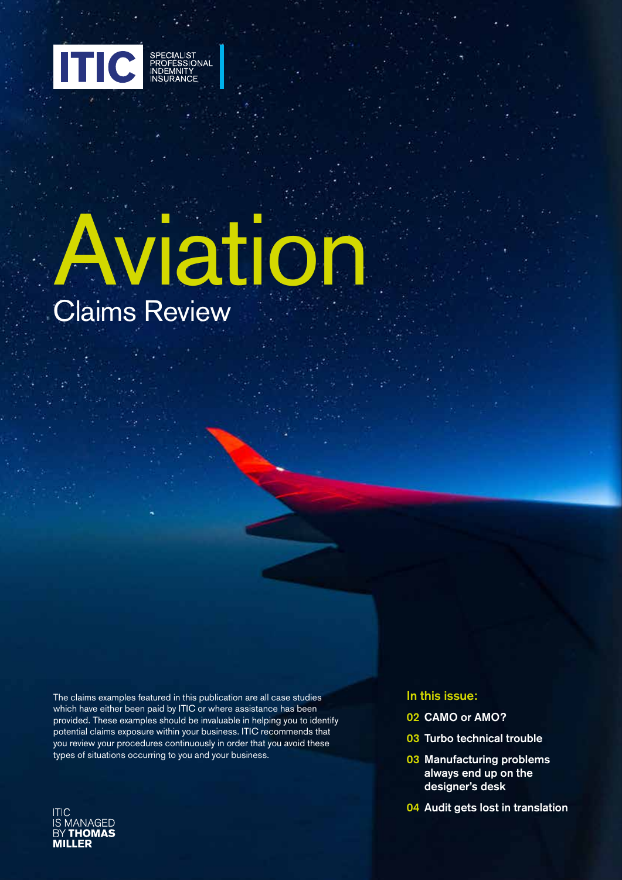

# Claims Review Aviation

The claims examples featured in this publication are all case studies which have either been paid by ITIC or where assistance has been provided. These examples should be invaluable in helping you to identify potential claims exposure within your business. ITIC recommends that you review your procedures continuously in order that you avoid these types of situations occurring to you and your business.



### In this issue:

- 02 CAMO or AMO?
- 03 Turbo technical trouble
- 03 Manufacturing problems always end up on the designer's desk
- 04 Audit gets lost in translation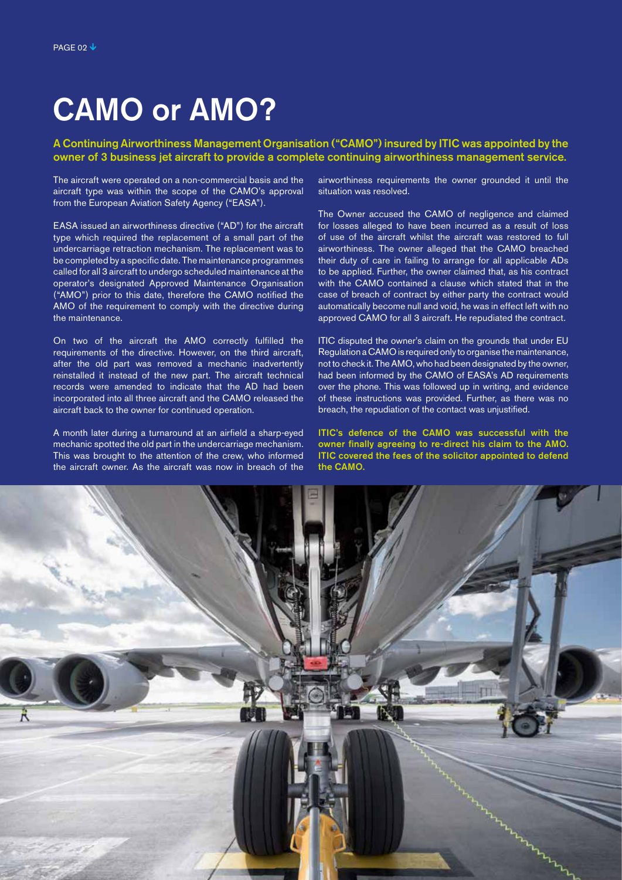## CAMO or AMO?

#### A Continuing Airworthiness Management Organisation ("CAMO") insured by ITIC was appointed by the owner of 3 business jet aircraft to provide a complete continuing airworthiness management service.

The aircraft were operated on a non-commercial basis and the aircraft type was within the scope of the CAMO's approval from the European Aviation Safety Agency ("EASA").

EASA issued an airworthiness directive ("AD") for the aircraft type which required the replacement of a small part of the undercarriage retraction mechanism. The replacement was to be completed by a specific date. The maintenance programmes called for all 3 aircraft to undergo scheduled maintenance at the operator's designated Approved Maintenance Organisation ("AMO") prior to this date, therefore the CAMO notified the AMO of the requirement to comply with the directive during the maintenance.

On two of the aircraft the AMO correctly fulfilled the requirements of the directive. However, on the third aircraft, after the old part was removed a mechanic inadvertently reinstalled it instead of the new part. The aircraft technical records were amended to indicate that the AD had been incorporated into all three aircraft and the CAMO released the aircraft back to the owner for continued operation.

A month later during a turnaround at an airfield a sharp-eyed mechanic spotted the old part in the undercarriage mechanism. This was brought to the attention of the crew, who informed the aircraft owner. As the aircraft was now in breach of the

airworthiness requirements the owner grounded it until the situation was resolved.

The Owner accused the CAMO of negligence and claimed for losses alleged to have been incurred as a result of loss of use of the aircraft whilst the aircraft was restored to full airworthiness. The owner alleged that the CAMO breached their duty of care in failing to arrange for all applicable ADs to be applied. Further, the owner claimed that, as his contract with the CAMO contained a clause which stated that in the case of breach of contract by either party the contract would automatically become null and void, he was in effect left with no approved CAMO for all 3 aircraft. He repudiated the contract.

ITIC disputed the owner's claim on the grounds that under EU Regulation a CAMO is required only to organise the maintenance. not to check it. The AMO, who had been designated by the owner, had been informed by the CAMO of EASA's AD requirements over the phone. This was followed up in writing, and evidence of these instructions was provided. Further, as there was no breach, the repudiation of the contact was unjustified.

ITIC's defence of the CAMO was successful with the owner finally agreeing to re-direct his claim to the AMO. ITIC covered the fees of the solicitor appointed to defend the CAMO.

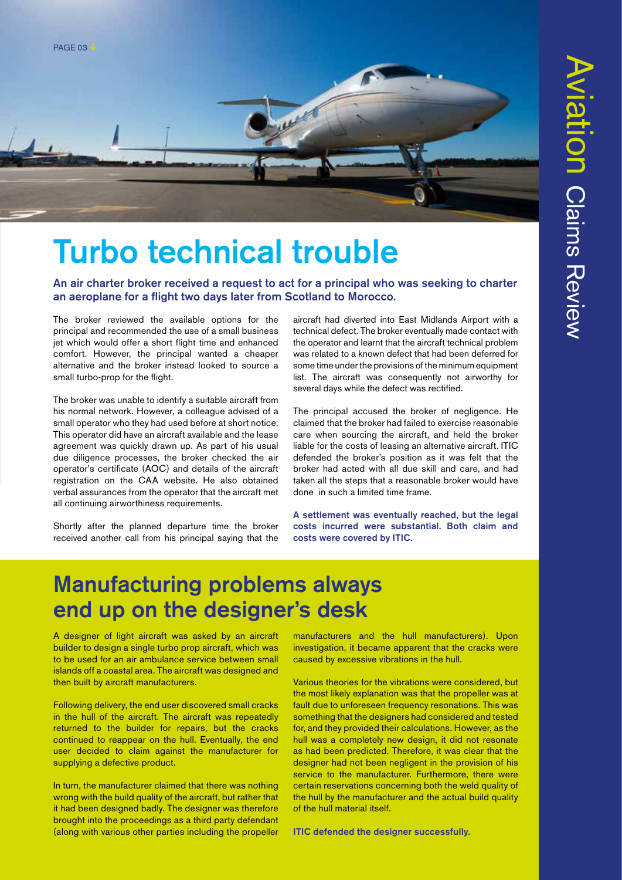

# Turbo technical trouble

An air charter broker received a request to act for a principal who was seeking to charter an aeroplane for a flight two days later from Scotland to Morocco.

The broker reviewed the available options for the principal and recommended the use of a small business jet which would offer a short flight time and enhanced comfort. However, the principal wanted a cheaper alternative and the broker instead looked to source a small turbo-prop for the flight.

The broker was unable to identify a suitable aircraft from his normal network. However, a colleague advised of a small operator who they had used before at short notice. This operator did have an aircraft available and the lease agreement was quickly drawn up. As part of his usual due diligence processes, the broker checked the air operator's certificate (AOC) and details of the aircraft registration on the CAA website. He also obtained verbal assurances from the operator that the aircraft met all continuing airworthiness requirements.

Shortly after the planned departure time the broker received another call from his principal saying that the aircraft had diverted into East Midlands Airport with a technical defect. The broker eventually made contact with the operator and learnt that the aircraft technical problem was related to a known defect that had been deferred for some time under the provisions of the minimum equipment list. The aircraft was consequently not airworthy for several days while the defect was rectified.

The principal accused the broker of negligence. He claimed that the broker had failed to exercise reasonable care when sourcing the aircraft, and held the broker liable for the costs of leasing an alternative aircraft. ITIC defended the broker's position as it was felt that the broker had acted with all due skill and care, and had taken all the steps that a reasonable broker would have done in such a limited time frame.

A settlement was eventually reached, but the legal costs incurred were substantial. Both claim and costs were covered by ITIC.

### Manufacturing problems always end up on the designer's desk

A designer of light aircraft was asked by an aircraft builder to design a single turbo prop aircraft, which was to be used for an air ambulance service between small islands off a coastal area. The aircraft was designed and then built by aircraft manufacturers.

Following delivery, the end user discovered small cracks in the hull of the aircraft. The aircraft was repeatedly returned to the builder for repairs, but the cracks continued to reappear on the hull. Eventually, the end user decided to claim against the manufacturer for supplying a defective product.

In turn, the manufacturer claimed that there was nothing wrong with the build quality of the aircraft, but rather that it had been designed badly. The designer was therefore brought into the proceedings as a third party defendant (along with various other parties including the propeller manufacturers and the hull manufacturers). Upon investigation, it became apparent that the cracks were caused by excessive vibrations in the hull.

Various theories for the vibrations were considered, but the most likely explanation was that the propeller was at fault due to unforeseen frequency resonations. This was something that the designers had considered and tested for, and they provided their calculations. However, as the hull was a completely new design, it did not resonate as had been predicted. Therefore, it was clear that the designer had not been negligent in the provision of his service to the manufacturer. Furthermore, there were certain reservations concerning both the weld quality of the hull by the manufacturer and the actual build quality of the hull material itself.

ITIC defended the designer successfully.